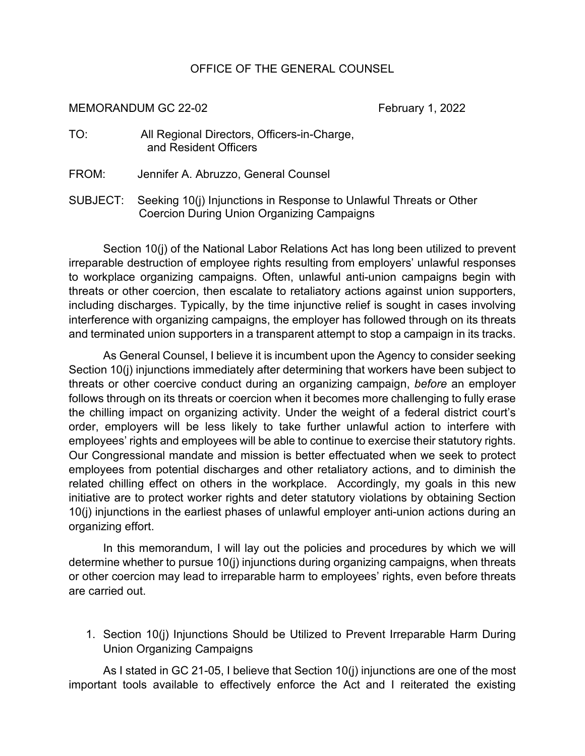## OFFICE OF THE GENERAL COUNSEL

MEMORANDUM GC 22-02 February 1, 2022

| TO: | All Regional Directors, Officers-in-Charge, |
|-----|---------------------------------------------|
|     | and Resident Officers                       |

- FROM: Jennifer A. Abruzzo, General Counsel
- SUBJECT: Seeking 10(j) Injunctions in Response to Unlawful Threats or Other Coercion During Union Organizing Campaigns

Section 10(j) of the National Labor Relations Act has long been utilized to prevent irreparable destruction of employee rights resulting from employers' unlawful responses to workplace organizing campaigns. Often, unlawful anti-union campaigns begin with threats or other coercion, then escalate to retaliatory actions against union supporters, including discharges. Typically, by the time injunctive relief is sought in cases involving interference with organizing campaigns, the employer has followed through on its threats and terminated union supporters in a transparent attempt to stop a campaign in its tracks.

As General Counsel, I believe it is incumbent upon the Agency to consider seeking Section 10(j) injunctions immediately after determining that workers have been subject to threats or other coercive conduct during an organizing campaign, *before* an employer follows through on its threats or coercion when it becomes more challenging to fully erase the chilling impact on organizing activity. Under the weight of a federal district court's order, employers will be less likely to take further unlawful action to interfere with employees' rights and employees will be able to continue to exercise their statutory rights. Our Congressional mandate and mission is better effectuated when we seek to protect employees from potential discharges and other retaliatory actions, and to diminish the related chilling effect on others in the workplace. Accordingly, my goals in this new initiative are to protect worker rights and deter statutory violations by obtaining Section 10(j) injunctions in the earliest phases of unlawful employer anti-union actions during an organizing effort.

In this memorandum, I will lay out the policies and procedures by which we will determine whether to pursue 10(j) injunctions during organizing campaigns, when threats or other coercion may lead to irreparable harm to employees' rights, even before threats are carried out.

1. Section 10(j) Injunctions Should be Utilized to Prevent Irreparable Harm During Union Organizing Campaigns

As I stated in GC 21-05, I believe that Section 10(j) injunctions are one of the most important tools available to effectively enforce the Act and I reiterated the existing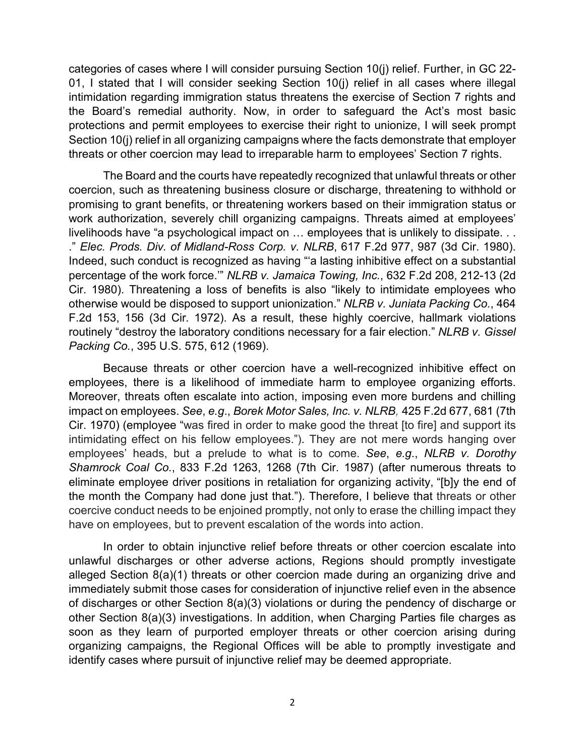categories of cases where I will consider pursuing Section 10(j) relief. Further, in GC 22- 01, I stated that I will consider seeking Section 10(j) relief in all cases where illegal intimidation regarding immigration status threatens the exercise of Section 7 rights and the Board's remedial authority. Now, in order to safeguard the Act's most basic protections and permit employees to exercise their right to unionize, I will seek prompt Section 10(j) relief in all organizing campaigns where the facts demonstrate that employer threats or other coercion may lead to irreparable harm to employees' Section 7 rights.

The Board and the courts have repeatedly recognized that unlawful threats or other coercion, such as threatening business closure or discharge, threatening to withhold or promising to grant benefits, or threatening workers based on their immigration status or work authorization, severely chill organizing campaigns. Threats aimed at employees' livelihoods have "a psychological impact on … employees that is unlikely to dissipate. . . ." *Elec. Prods. Div. of Midland-Ross Corp. v. NLRB*, 617 F.2d 977, 987 (3d Cir. 1980). Indeed, such conduct is recognized as having "'a lasting inhibitive effect on a substantial percentage of the work force.'" *NLRB v. Jamaica Towing, Inc.*, 632 F.2d 208, 212-13 (2d Cir. 1980). Threatening a loss of benefits is also "likely to intimidate employees who otherwise would be disposed to support unionization." *NLRB v. Juniata Packing Co.*, 464 F.2d 153, 156 (3d Cir. 1972). As a result, these highly coercive, hallmark violations routinely "destroy the laboratory conditions necessary for a fair election." *NLRB v. Gissel Packing Co.*, 395 U.S. 575, 612 (1969).

Because threats or other coercion have a well-recognized inhibitive effect on employees, there is a likelihood of immediate harm to employee organizing efforts. Moreover, threats often escalate into action, imposing even more burdens and chilling impact on employees. *See*, *e.g*., *Borek Motor Sales, Inc. v. NLRB,* 425 F.2d 677, 681 (7th Cir. 1970) (employee "was fired in order to make good the threat [to fire] and support its intimidating effect on his fellow employees."). They are not mere words hanging over employees' heads, but a prelude to what is to come. *See*, *e.g*., *NLRB v. Dorothy Shamrock Coal Co.*, 833 F.2d 1263, 1268 (7th Cir. 1987) (after numerous threats to eliminate employee driver positions in retaliation for organizing activity, "[b]y the end of the month the Company had done just that."). Therefore, I believe that threats or other coercive conduct needs to be enjoined promptly, not only to erase the chilling impact they have on employees, but to prevent escalation of the words into action.

In order to obtain injunctive relief before threats or other coercion escalate into unlawful discharges or other adverse actions, Regions should promptly investigate alleged Section 8(a)(1) threats or other coercion made during an organizing drive and immediately submit those cases for consideration of injunctive relief even in the absence of discharges or other Section 8(a)(3) violations or during the pendency of discharge or other Section 8(a)(3) investigations. In addition, when Charging Parties file charges as soon as they learn of purported employer threats or other coercion arising during organizing campaigns, the Regional Offices will be able to promptly investigate and identify cases where pursuit of injunctive relief may be deemed appropriate.